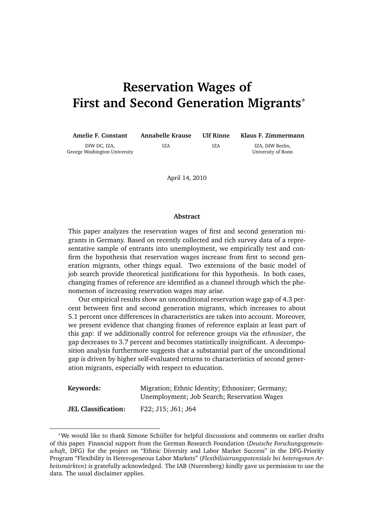# **Reservation Wages of First and Second Generation Migrants**<sup>∗</sup>

| <b>Amelie F. Constant</b>                    | Annabelle Krause | Ulf Rinne | Klaus F. Zimmermann                    |
|----------------------------------------------|------------------|-----------|----------------------------------------|
| DIW DC. IZA.<br>George Washington University | IZA              | IZA       | IZA. DIW Berlin.<br>University of Bonn |

April 14, 2010

#### **Abstract**

This paper analyzes the reservation wages of first and second generation migrants in Germany. Based on recently collected and rich survey data of a representative sample of entrants into unemployment, we empirically test and confirm the hypothesis that reservation wages increase from first to second generation migrants, other things equal. Two extensions of the basic model of job search provide theoretical justifications for this hypothesis. In both cases, changing frames of reference are identified as a channel through which the phenomenon of increasing reservation wages may arise.

Our empirical results show an unconditional reservation wage gap of 4.3 percent between first and second generation migrants, which increases to about 5.1 percent once differences in characteristics are taken into account. Moreover, we present evidence that changing frames of reference explain at least part of this gap: if we additionally control for reference groups via the *ethnosizer*, the gap decreases to 3.7 percent and becomes statistically insignificant. A decomposition analysis furthermore suggests that a substantial part of the unconditional gap is driven by higher self-evaluated returns to characteristics of second generation migrants, especially with respect to education.

**Keywords:** Migration; Ethnic Identity; Ethnosizer; Germany; Unemployment; Job Search; Reservation Wages

**JEL Classification:** F22; J15; J61; J64

<sup>∗</sup>We would like to thank Simone Schuller for helpful discussions and comments on earlier drafts ¨ of this paper. Financial support from the German Research Foundation (*Deutsche Forschungsgemeinschaft*, DFG) for the project on "Ethnic Diversity and Labor Market Success" in the DFG-Priority Program "Flexibility in Heterogeneous Labor Markets" (*Flexibilisierungspotenziale bei heterogenen Arbeitsmärkten*) is gratefully acknowledged. The IAB (Nuremberg) kindly gave us permission to use the data. The usual disclaimer applies.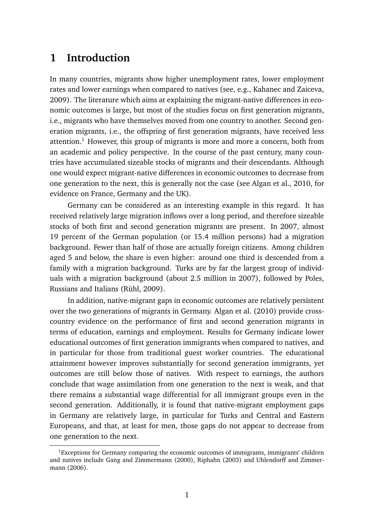## **1 Introduction**

In many countries, migrants show higher unemployment rates, lower employment rates and lower earnings when compared to natives (see, e.g., Kahanec and Zaiceva, 2009). The literature which aims at explaining the migrant-native differences in economic outcomes is large, but most of the studies focus on first generation migrants, i.e., migrants who have themselves moved from one country to another. Second generation migrants, i.e., the offspring of first generation migrants, have received less attention.<sup>1</sup> However, this group of migrants is more and more a concern, both from an academic and policy perspective. In the course of the past century, many countries have accumulated sizeable stocks of migrants and their descendants. Although one would expect migrant-native differences in economic outcomes to decrease from one generation to the next, this is generally not the case (see Algan et al., 2010, for evidence on France, Germany and the UK).

Germany can be considered as an interesting example in this regard. It has received relatively large migration inflows over a long period, and therefore sizeable stocks of both first and second generation migrants are present. In 2007, almost 19 percent of the German population (or 15.4 million persons) had a migration background. Fewer than half of those are actually foreign citizens. Among children aged 5 and below, the share is even higher: around one third is descended from a family with a migration background. Turks are by far the largest group of individuals with a migration background (about 2.5 million in 2007), followed by Poles, Russians and Italians (Rühl, 2009).

In addition, native-migrant gaps in economic outcomes are relatively persistent over the two generations of migrants in Germany. Algan et al. (2010) provide crosscountry evidence on the performance of first and second generation migrants in terms of education, earnings and employment. Results for Germany indicate lower educational outcomes of first generation immigrants when compared to natives, and in particular for those from traditional guest worker countries. The educational attainment however improves substantially for second generation immigrants, yet outcomes are still below those of natives. With respect to earnings, the authors conclude that wage assimilation from one generation to the next is weak, and that there remains a substantial wage differential for all immigrant groups even in the second generation. Additionally, it is found that native-migrant employment gaps in Germany are relatively large, in particular for Turks and Central and Eastern Europeans, and that, at least for men, those gaps do not appear to decrease from one generation to the next.

<sup>&</sup>lt;sup>1</sup>Exceptions for Germany comparing the economic outcomes of immigrants, immigrants' children and natives include Gang and Zimmermann (2000), Riphahn (2003) and Uhlendorff and Zimmermann (2006).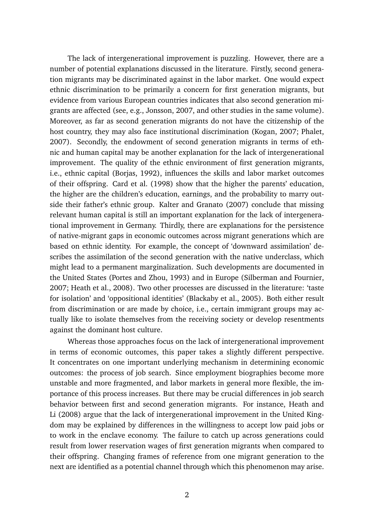The lack of intergenerational improvement is puzzling. However, there are a number of potential explanations discussed in the literature. Firstly, second generation migrants may be discriminated against in the labor market. One would expect ethnic discrimination to be primarily a concern for first generation migrants, but evidence from various European countries indicates that also second generation migrants are affected (see, e.g., Jonsson, 2007, and other studies in the same volume). Moreover, as far as second generation migrants do not have the citizenship of the host country, they may also face institutional discrimination (Kogan, 2007; Phalet, 2007). Secondly, the endowment of second generation migrants in terms of ethnic and human capital may be another explanation for the lack of intergenerational improvement. The quality of the ethnic environment of first generation migrants, i.e., ethnic capital (Borjas, 1992), influences the skills and labor market outcomes of their offspring. Card et al. (1998) show that the higher the parents' education, the higher are the children's education, earnings, and the probability to marry outside their father's ethnic group. Kalter and Granato (2007) conclude that missing relevant human capital is still an important explanation for the lack of intergenerational improvement in Germany. Thirdly, there are explanations for the persistence of native-migrant gaps in economic outcomes across migrant generations which are based on ethnic identity. For example, the concept of 'downward assimilation' describes the assimilation of the second generation with the native underclass, which might lead to a permanent marginalization. Such developments are documented in the United States (Portes and Zhou, 1993) and in Europe (Silberman and Fournier, 2007; Heath et al., 2008). Two other processes are discussed in the literature: 'taste for isolation' and 'oppositional identities' (Blackaby et al., 2005). Both either result from discrimination or are made by choice, i.e., certain immigrant groups may actually like to isolate themselves from the receiving society or develop resentments against the dominant host culture.

Whereas those approaches focus on the lack of intergenerational improvement in terms of economic outcomes, this paper takes a slightly different perspective. It concentrates on one important underlying mechanism in determining economic outcomes: the process of job search. Since employment biographies become more unstable and more fragmented, and labor markets in general more flexible, the importance of this process increases. But there may be crucial differences in job search behavior between first and second generation migrants. For instance, Heath and Li (2008) argue that the lack of intergenerational improvement in the United Kingdom may be explained by differences in the willingness to accept low paid jobs or to work in the enclave economy. The failure to catch up across generations could result from lower reservation wages of first generation migrants when compared to their offspring. Changing frames of reference from one migrant generation to the next are identified as a potential channel through which this phenomenon may arise.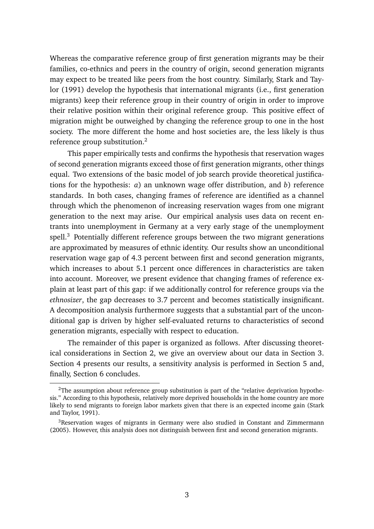Whereas the comparative reference group of first generation migrants may be their families, co-ethnics and peers in the country of origin, second generation migrants may expect to be treated like peers from the host country. Similarly, Stark and Taylor (1991) develop the hypothesis that international migrants (i.e., first generation migrants) keep their reference group in their country of origin in order to improve their relative position within their original reference group. This positive effect of migration might be outweighed by changing the reference group to one in the host society. The more different the home and host societies are, the less likely is thus reference group substitution.<sup>2</sup>

This paper empirically tests and confirms the hypothesis that reservation wages of second generation migrants exceed those of first generation migrants, other things equal. Two extensions of the basic model of job search provide theoretical justifications for the hypothesis: *a*) an unknown wage offer distribution, and *b*) reference standards. In both cases, changing frames of reference are identified as a channel through which the phenomenon of increasing reservation wages from one migrant generation to the next may arise. Our empirical analysis uses data on recent entrants into unemployment in Germany at a very early stage of the unemployment spell.<sup>3</sup> Potentially different reference groups between the two migrant generations are approximated by measures of ethnic identity. Our results show an unconditional reservation wage gap of 4.3 percent between first and second generation migrants, which increases to about 5.1 percent once differences in characteristics are taken into account. Moreover, we present evidence that changing frames of reference explain at least part of this gap: if we additionally control for reference groups via the *ethnosizer*, the gap decreases to 3.7 percent and becomes statistically insignificant. A decomposition analysis furthermore suggests that a substantial part of the unconditional gap is driven by higher self-evaluated returns to characteristics of second generation migrants, especially with respect to education.

The remainder of this paper is organized as follows. After discussing theoretical considerations in Section 2, we give an overview about our data in Section 3. Section 4 presents our results, a sensitivity analysis is performed in Section 5 and, finally, Section 6 concludes.

 $2$ The assumption about reference group substitution is part of the "relative deprivation hypothesis." According to this hypothesis, relatively more deprived households in the home country are more likely to send migrants to foreign labor markets given that there is an expected income gain (Stark and Taylor, 1991).

<sup>&</sup>lt;sup>3</sup>Reservation wages of migrants in Germany were also studied in Constant and Zimmermann (2005). However, this analysis does not distinguish between first and second generation migrants.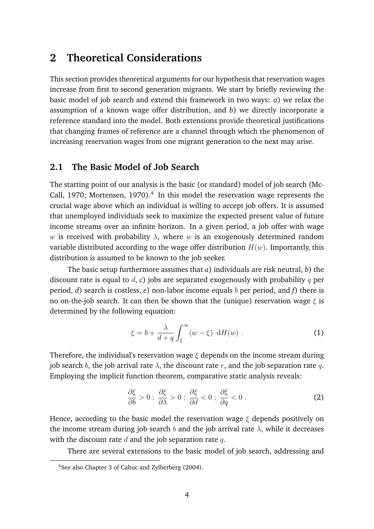## **2 Theoretical Considerations**

This section provides theoretical arguments for our hypothesis that reservation wages increase from first to second generation migrants. We start by briefly reviewing the basic model of job search and extend this framework in two ways: *a*) we relax the assumption of a known wage offer distribution, and *b*) we directly incorporate a reference standard into the model. Both extensions provide theoretical justifications that changing frames of reference are a channel through which the phenomenon of increasing reservation wages from one migrant generation to the next may arise.

#### **2.1 The Basic Model of Job Search**

The starting point of our analysis is the basic (or standard) model of job search (Mc-Call, 1970; Mortensen, 1970).<sup>4</sup> In this model the reservation wage represents the crucial wage above which an individual is willing to accept job offers. It is assumed that unemployed individuals seek to maximize the expected present value of future income streams over an infinite horizon. In a given period, a job offer with wage w is received with probability  $\lambda$ , where w is an exogenously determined random variable distributed according to the wage offer distribution  $H(w)$ . Importantly, this distribution is assumed to be known to the job seeker.

The basic setup furthermore assumes that *a*) individuals are risk neutral, *b*) the discount rate is equal to d, *c*) jobs are separated exogenously with probability q per period, *d*) search is costless, *e*) non-labor income equals b per period, and *f*) there is no on-the-job search. It can then be shown that the (unique) reservation wage  $\xi$  is determined by the following equation:

$$
\xi = b + \frac{\lambda}{d+q} \int_{\xi}^{\infty} (w - \xi) \, dH(w) \, . \tag{1}
$$

Therefore, the individual's reservation wage  $\xi$  depends on the income stream during job search b, the job arrival rate  $\lambda$ , the discount rate r, and the job separation rate q. Employing the implicit function theorem, comparative static analysis reveals:

$$
\frac{\partial \xi}{\partial b} > 0 \; ; \; \frac{\partial \xi}{\partial \lambda} > 0 \; ; \; \frac{\partial \xi}{\partial d} < 0 \; ; \; \frac{\partial \xi}{\partial q} < 0 \; . \tag{2}
$$

Hence, according to the basic model the reservation wage  $\xi$  depends positively on the income stream during job search b and the job arrival rate  $\lambda$ , while it decreases with the discount rate  $d$  and the job separation rate  $q$ .

There are several extensions to the basic model of job search, addressing and

<sup>4</sup>See also Chapter 3 of Cahuc and Zylberberg (2004).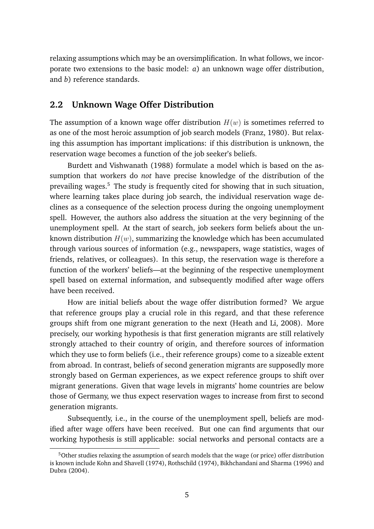relaxing assumptions which may be an oversimplification. In what follows, we incorporate two extensions to the basic model: *a*) an unknown wage offer distribution, and *b*) reference standards.

#### **2.2 Unknown Wage Offer Distribution**

The assumption of a known wage offer distribution  $H(w)$  is sometimes referred to as one of the most heroic assumption of job search models (Franz, 1980). But relaxing this assumption has important implications: if this distribution is unknown, the reservation wage becomes a function of the job seeker's beliefs.

Burdett and Vishwanath (1988) formulate a model which is based on the assumption that workers do *not* have precise knowledge of the distribution of the prevailing wages.<sup>5</sup> The study is frequently cited for showing that in such situation, where learning takes place during job search, the individual reservation wage declines as a consequence of the selection process during the ongoing unemployment spell. However, the authors also address the situation at the very beginning of the unemployment spell. At the start of search, job seekers form beliefs about the unknown distribution  $H(w)$ , summarizing the knowledge which has been accumulated through various sources of information (e.g., newspapers, wage statistics, wages of friends, relatives, or colleagues). In this setup, the reservation wage is therefore a function of the workers' beliefs—at the beginning of the respective unemployment spell based on external information, and subsequently modified after wage offers have been received.

How are initial beliefs about the wage offer distribution formed? We argue that reference groups play a crucial role in this regard, and that these reference groups shift from one migrant generation to the next (Heath and Li, 2008). More precisely, our working hypothesis is that first generation migrants are still relatively strongly attached to their country of origin, and therefore sources of information which they use to form beliefs (i.e., their reference groups) come to a sizeable extent from abroad. In contrast, beliefs of second generation migrants are supposedly more strongly based on German experiences, as we expect reference groups to shift over migrant generations. Given that wage levels in migrants' home countries are below those of Germany, we thus expect reservation wages to increase from first to second generation migrants.

Subsequently, i.e., in the course of the unemployment spell, beliefs are modified after wage offers have been received. But one can find arguments that our working hypothesis is still applicable: social networks and personal contacts are a

<sup>&</sup>lt;sup>5</sup>Other studies relaxing the assumption of search models that the wage (or price) offer distribution is known include Kohn and Shavell (1974), Rothschild (1974), Bikhchandani and Sharma (1996) and Dubra (2004).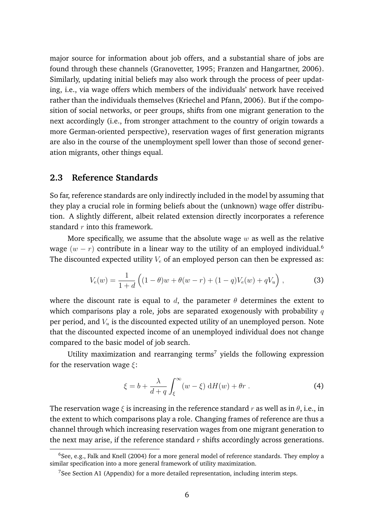major source for information about job offers, and a substantial share of jobs are found through these channels (Granovetter, 1995; Franzen and Hangartner, 2006). Similarly, updating initial beliefs may also work through the process of peer updating, i.e., via wage offers which members of the individuals' network have received rather than the individuals themselves (Kriechel and Pfann, 2006). But if the composition of social networks, or peer groups, shifts from one migrant generation to the next accordingly (i.e., from stronger attachment to the country of origin towards a more German-oriented perspective), reservation wages of first generation migrants are also in the course of the unemployment spell lower than those of second generation migrants, other things equal.

#### **2.3 Reference Standards**

So far, reference standards are only indirectly included in the model by assuming that they play a crucial role in forming beliefs about the (unknown) wage offer distribution. A slightly different, albeit related extension directly incorporates a reference standard  $r$  into this framework.

More specifically, we assume that the absolute wage  $w$  as well as the relative wage  $(w - r)$  contribute in a linear way to the utility of an employed individual.<sup>6</sup> The discounted expected utility  $V_e$  of an employed person can then be expressed as:

$$
V_e(w) = \frac{1}{1+d} \left( (1-\theta)w + \theta(w-r) + (1-q)V_e(w) + qV_u \right),
$$
 (3)

where the discount rate is equal to d, the parameter  $\theta$  determines the extent to which comparisons play a role, jobs are separated exogenously with probability  $q$ per period, and  $V_u$  is the discounted expected utility of an unemployed person. Note that the discounted expected income of an unemployed individual does not change compared to the basic model of job search.

Utility maximization and rearranging terms<sup>7</sup> yields the following expression for the reservation wage  $\xi$ :

$$
\xi = b + \frac{\lambda}{d+q} \int_{\xi}^{\infty} (w - \xi) \, dH(w) + \theta r \; . \tag{4}
$$

The reservation wage  $\xi$  is increasing in the reference standard r as well as in  $\theta$ , i.e., in the extent to which comparisons play a role. Changing frames of reference are thus a channel through which increasing reservation wages from one migrant generation to the next may arise, if the reference standard  $r$  shifts accordingly across generations.

 $6$ See, e.g., Falk and Knell (2004) for a more general model of reference standards. They employ a similar specification into a more general framework of utility maximization.

 $7$ See Section A1 (Appendix) for a more detailed representation, including interim steps.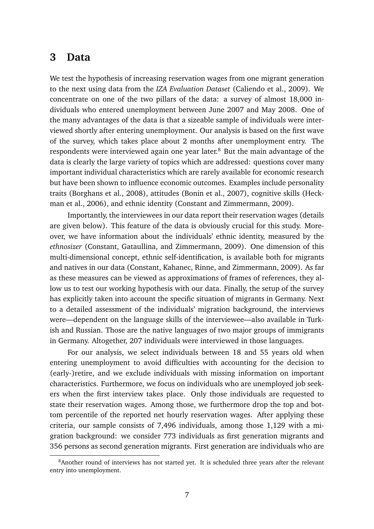### **3 Data**

We test the hypothesis of increasing reservation wages from one migrant generation to the next using data from the *IZA Evaluation Dataset* (Caliendo et al., 2009). We concentrate on one of the two pillars of the data: a survey of almost 18,000 individuals who entered unemployment between June 2007 and May 2008. One of the many advantages of the data is that a sizeable sample of individuals were interviewed shortly after entering unemployment. Our analysis is based on the first wave of the survey, which takes place about 2 months after unemployment entry. The respondents were interviewed again one year later.<sup>8</sup> But the main advantage of the data is clearly the large variety of topics which are addressed: questions cover many important individual characteristics which are rarely available for economic research but have been shown to influence economic outcomes. Examples include personality traits (Borghans et al., 2008), attitudes (Bonin et al., 2007), cognitive skills (Heckman et al., 2006), and ethnic identity (Constant and Zimmermann, 2009).

Importantly, the interviewees in our data report their reservation wages (details are given below). This feature of the data is obviously crucial for this study. Moreover, we have information about the individuals' ethnic identity, measured by the *ethnosizer* (Constant, Gataullina, and Zimmermann, 2009). One dimension of this multi-dimensional concept, ethnic self-identification, is available both for migrants and natives in our data (Constant, Kahanec, Rinne, and Zimmermann, 2009). As far as these measures can be viewed as approximations of frames of references, they allow us to test our working hypothesis with our data. Finally, the setup of the survey has explicitly taken into account the specific situation of migrants in Germany. Next to a detailed assessment of the individuals' migration background, the interviews were—dependent on the language skills of the interviewee—also available in Turkish and Russian. Those are the native languages of two major groups of immigrants in Germany. Altogether, 207 individuals were interviewed in those languages.

For our analysis, we select individuals between 18 and 55 years old when entering unemployment to avoid difficulties with accounting for the decision to (early-)retire, and we exclude individuals with missing information on important characteristics. Furthermore, we focus on individuals who are unemployed job seekers when the first interview takes place. Only those individuals are requested to state their reservation wages. Among those, we furthermore drop the top and bottom percentile of the reported net hourly reservation wages. After applying these criteria, our sample consists of 7,496 individuals, among those 1,129 with a migration background: we consider 773 individuals as first generation migrants and 356 persons as second generation migrants. First generation are individuals who are

<sup>&</sup>lt;sup>8</sup> Another round of interviews has not started yet. It is scheduled three years after the relevant entry into unemployment.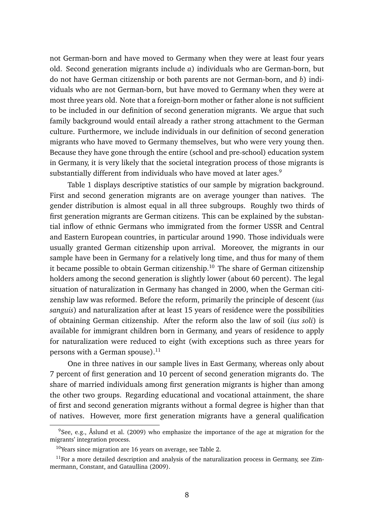not German-born and have moved to Germany when they were at least four years old. Second generation migrants include *a*) individuals who are German-born, but do not have German citizenship or both parents are not German-born, and *b*) individuals who are not German-born, but have moved to Germany when they were at most three years old. Note that a foreign-born mother or father alone is not sufficient to be included in our definition of second generation migrants. We argue that such family background would entail already a rather strong attachment to the German culture. Furthermore, we include individuals in our definition of second generation migrants who have moved to Germany themselves, but who were very young then. Because they have gone through the entire (school and pre-school) education system in Germany, it is very likely that the societal integration process of those migrants is substantially different from individuals who have moved at later ages.<sup>9</sup>

Table 1 displays descriptive statistics of our sample by migration background. First and second generation migrants are on average younger than natives. The gender distribution is almost equal in all three subgroups. Roughly two thirds of first generation migrants are German citizens. This can be explained by the substantial inflow of ethnic Germans who immigrated from the former USSR and Central and Eastern European countries, in particular around 1990. Those individuals were usually granted German citizenship upon arrival. Moreover, the migrants in our sample have been in Germany for a relatively long time, and thus for many of them it became possible to obtain German citizenship.<sup>10</sup> The share of German citizenship holders among the second generation is slightly lower (about 60 percent). The legal situation of naturalization in Germany has changed in 2000, when the German citizenship law was reformed. Before the reform, primarily the principle of descent (*ius sanguis*) and naturalization after at least 15 years of residence were the possibilities of obtaining German citizenship. After the reform also the law of soil (*ius soli*) is available for immigrant children born in Germany, and years of residence to apply for naturalization were reduced to eight (with exceptions such as three years for persons with a German spouse). $^{11}$ 

One in three natives in our sample lives in East Germany, whereas only about 7 percent of first generation and 10 percent of second generation migrants do. The share of married individuals among first generation migrants is higher than among the other two groups. Regarding educational and vocational attainment, the share of first and second generation migrants without a formal degree is higher than that of natives. However, more first generation migrants have a general qualification

 $9$ See, e.g., Åslund et al. (2009) who emphasize the importance of the age at migration for the migrants' integration process.

<sup>&</sup>lt;sup>10</sup>Years since migration are 16 years on average, see Table 2.

 $11$  For a more detailed description and analysis of the naturalization process in Germany, see Zimmermann, Constant, and Gataullina (2009).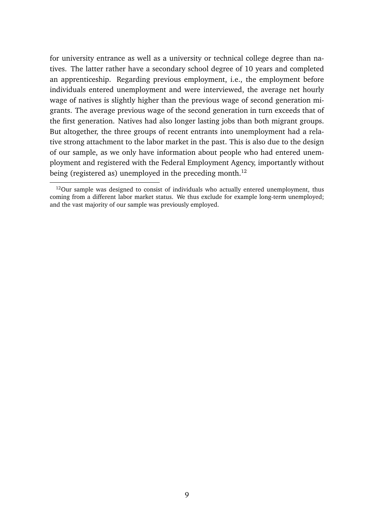for university entrance as well as a university or technical college degree than natives. The latter rather have a secondary school degree of 10 years and completed an apprenticeship. Regarding previous employment, i.e., the employment before individuals entered unemployment and were interviewed, the average net hourly wage of natives is slightly higher than the previous wage of second generation migrants. The average previous wage of the second generation in turn exceeds that of the first generation. Natives had also longer lasting jobs than both migrant groups. But altogether, the three groups of recent entrants into unemployment had a relative strong attachment to the labor market in the past. This is also due to the design of our sample, as we only have information about people who had entered unemployment and registered with the Federal Employment Agency, importantly without being (registered as) unemployed in the preceding month.<sup>12</sup>

 $12$ Our sample was designed to consist of individuals who actually entered unemployment, thus coming from a different labor market status. We thus exclude for example long-term unemployed; and the vast majority of our sample was previously employed.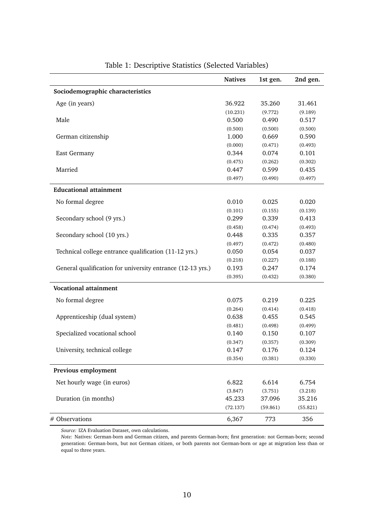|                                                            | <b>Natives</b> | 1st gen. | 2nd gen. |
|------------------------------------------------------------|----------------|----------|----------|
| Sociodemographic characteristics                           |                |          |          |
| Age (in years)                                             | 36.922         | 35.260   | 31.461   |
|                                                            | (10.231)       | (9.772)  | (9.189)  |
| Male                                                       | 0.500          | 0.490    | 0.517    |
|                                                            | (0.500)        | (0.500)  | (0.500)  |
| German citizenship                                         | 1.000          | 0.669    | 0.590    |
|                                                            | (0.000)        | (0.471)  | (0.493)  |
| <b>East Germany</b>                                        | 0.344          | 0.074    | 0.101    |
|                                                            | (0.475)        | (0.262)  | (0.302)  |
| Married                                                    | 0.447          | 0.599    | 0.435    |
|                                                            | (0.497)        | (0.490)  | (0.497)  |
| <b>Educational attainment</b>                              |                |          |          |
| No formal degree                                           | 0.010          | 0.025    | 0.020    |
|                                                            | (0.101)        | (0.155)  | (0.139)  |
| Secondary school (9 yrs.)                                  | 0.299          | 0.339    | 0.413    |
|                                                            | (0.458)        | (0.474)  | (0.493)  |
| Secondary school (10 yrs.)                                 | 0.448          | 0.335    | 0.357    |
|                                                            | (0.497)        | (0.472)  | (0.480)  |
| Technical college entrance qualification (11-12 yrs.)      | 0.050          | 0.054    | 0.037    |
|                                                            | (0.218)        | (0.227)  | (0.188)  |
| General qualification for university entrance (12-13 yrs.) | 0.193          | 0.247    | 0.174    |
|                                                            | (0.395)        | (0.432)  | (0.380)  |
| <b>Vocational attainment</b>                               |                |          |          |
| No formal degree                                           | 0.075          | 0.219    | 0.225    |
|                                                            | (0.264)        | (0.414)  | (0.418)  |
| Apprenticeship (dual system)                               | 0.638          | 0.455    | 0.545    |
|                                                            | (0.481)        | (0.498)  | (0.499)  |
| Specialized vocational school                              | 0.140          | 0.150    | 0.107    |
|                                                            | (0.347)        | (0.357)  | (0.309)  |
| University, technical college                              | 0.147          | 0.176    | 0.124    |
|                                                            | (0.354)        | (0.381)  | (0.330)  |
| Previous employment                                        |                |          |          |
| Net hourly wage (in euros)                                 | 6.822          | 6.614    | 6.754    |
|                                                            | (3.847)        | (3.751)  | (3.218)  |
| Duration (in months)                                       | 45.233         | 37.096   | 35.216   |
|                                                            | (72.137)       | (59.861) | (55.821) |
| # Observations                                             | 6,367          | 773      | 356      |

| Table 1: Descriptive Statistics (Selected Variables) |  |
|------------------------------------------------------|--|
|------------------------------------------------------|--|

*Source:* IZA Evaluation Dataset, own calculations.

*Note:* Natives: German-born and German citizen, and parents German-born; first generation: not German-born; second generation: German-born, but not German citizen, or both parents not German-born or age at migration less than or equal to three years.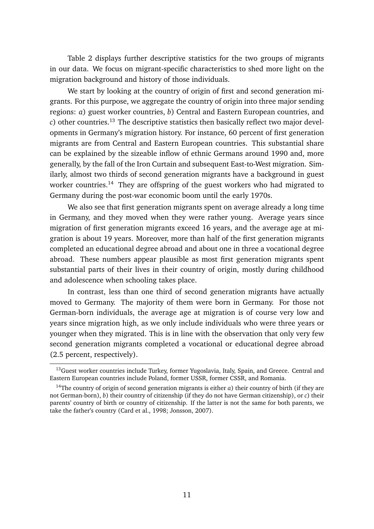Table 2 displays further descriptive statistics for the two groups of migrants in our data. We focus on migrant-specific characteristics to shed more light on the migration background and history of those individuals.

We start by looking at the country of origin of first and second generation migrants. For this purpose, we aggregate the country of origin into three major sending regions: *a*) guest worker countries, *b*) Central and Eastern European countries, and  $c$ ) other countries.<sup>13</sup> The descriptive statistics then basically reflect two major developments in Germany's migration history. For instance, 60 percent of first generation migrants are from Central and Eastern European countries. This substantial share can be explained by the sizeable inflow of ethnic Germans around 1990 and, more generally, by the fall of the Iron Curtain and subsequent East-to-West migration. Similarly, almost two thirds of second generation migrants have a background in guest worker countries.<sup>14</sup> They are offspring of the guest workers who had migrated to Germany during the post-war economic boom until the early 1970s.

We also see that first generation migrants spent on average already a long time in Germany, and they moved when they were rather young. Average years since migration of first generation migrants exceed 16 years, and the average age at migration is about 19 years. Moreover, more than half of the first generation migrants completed an educational degree abroad and about one in three a vocational degree abroad. These numbers appear plausible as most first generation migrants spent substantial parts of their lives in their country of origin, mostly during childhood and adolescence when schooling takes place.

In contrast, less than one third of second generation migrants have actually moved to Germany. The majority of them were born in Germany. For those not German-born individuals, the average age at migration is of course very low and years since migration high, as we only include individuals who were three years or younger when they migrated. This is in line with the observation that only very few second generation migrants completed a vocational or educational degree abroad (2.5 percent, respectively).

<sup>&</sup>lt;sup>13</sup>Guest worker countries include Turkey, former Yugoslavia, Italy, Spain, and Greece. Central and Eastern European countries include Poland, former USSR, former CSSR, and Romania.

<sup>14</sup>The country of origin of second generation migrants is either *a*) their country of birth (if they are not German-born), *b*) their country of citizenship (if they do not have German citizenship), or *c*) their parents' country of birth or country of citizenship. If the latter is not the same for both parents, we take the father's country (Card et al., 1998; Jonsson, 2007).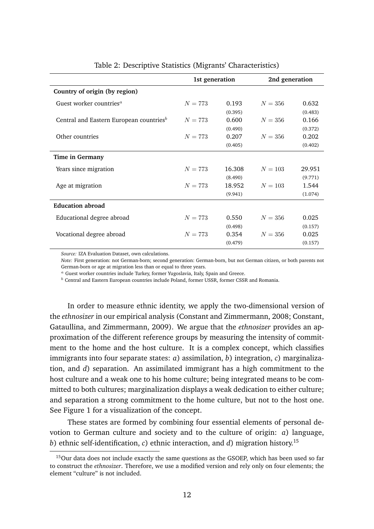|                                                     | 1st generation |         | 2nd generation |         |
|-----------------------------------------------------|----------------|---------|----------------|---------|
| Country of origin (by region)                       |                |         |                |         |
| Guest worker countries <sup>a</sup>                 | $N = 773$      | 0.193   | $N=356$        | 0.632   |
|                                                     |                | (0.395) |                | (0.483) |
| Central and Eastern European countries <sup>b</sup> | $N = 773$      | 0.600   | $N = 356$      | 0.166   |
|                                                     |                | (0.490) |                | (0.372) |
| Other countries                                     | $N = 773$      | 0.207   | $N = 356$      | 0.202   |
|                                                     |                | (0.405) |                | (0.402) |
| Time in Germany                                     |                |         |                |         |
| Years since migration                               | $N = 773$      | 16.308  | $N = 103$      | 29.951  |
|                                                     |                | (8.490) |                | (9.771) |
| Age at migration                                    | $N = 773$      | 18.952  | $N = 103$      | 1.544   |
|                                                     |                | (9.941) |                | (1.074) |
| <b>Education abroad</b>                             |                |         |                |         |
| Educational degree abroad                           | $N = 773$      | 0.550   | $N=356$        | 0.025   |
|                                                     |                | (0.498) |                | (0.157) |
| Vocational degree abroad                            | $N = 773$      | 0.354   | $N = 356$      | 0.025   |
|                                                     |                | (0.479) |                | (0.157) |

#### Table 2: Descriptive Statistics (Migrants' Characteristics)

*Source:* IZA Evaluation Dataset, own calculations.

*Note:* First generation: not German-born; second generation: German-born, but not German citizen, or both parents not German-born or age at migration less than or equal to three years.

<sup>a</sup> Guest worker countries include Turkey, former Yugoslavia, Italy, Spain and Greece.

 $<sup>b</sup>$  Central and Eastern European countries include Poland, former USSR, former CSSR and Romania.</sup>

In order to measure ethnic identity, we apply the two-dimensional version of the *ethnosizer* in our empirical analysis (Constant and Zimmermann, 2008; Constant, Gataullina, and Zimmermann, 2009). We argue that the *ethnosizer* provides an approximation of the different reference groups by measuring the intensity of commitment to the home and the host culture. It is a complex concept, which classifies immigrants into four separate states: *a*) assimilation, *b*) integration, *c*) marginalization, and *d*) separation. An assimilated immigrant has a high commitment to the host culture and a weak one to his home culture; being integrated means to be committed to both cultures; marginalization displays a weak dedication to either culture; and separation a strong commitment to the home culture, but not to the host one. See Figure 1 for a visualization of the concept.

These states are formed by combining four essential elements of personal devotion to German culture and society and to the culture of origin: *a*) language, *b*) ethnic self-identification, *c*) ethnic interaction, and *d*) migration history.<sup>15</sup>

<sup>&</sup>lt;sup>15</sup>Our data does not include exactly the same questions as the GSOEP, which has been used so far to construct the *ethnosizer*. Therefore, we use a modified version and rely only on four elements; the element "culture" is not included.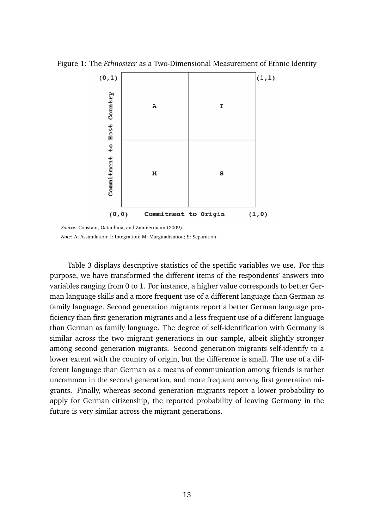Figure 1: The *Ethnosizer* as a Two-Dimensional Measurement of Ethnic Identity



*Source:* Constant, Gataullina, and Zimmermann (2009). *Note:* A: Assimilation; I: Integration; M: Marginalization; S: Separation.

Table 3 displays descriptive statistics of the specific variables we use. For this purpose, we have transformed the different items of the respondents' answers into variables ranging from 0 to 1. For instance, a higher value corresponds to better German language skills and a more frequent use of a different language than German as family language. Second generation migrants report a better German language proficiency than first generation migrants and a less frequent use of a different language than German as family language. The degree of self-identification with Germany is similar across the two migrant generations in our sample, albeit slightly stronger among second generation migrants. Second generation migrants self-identify to a lower extent with the country of origin, but the difference is small. The use of a different language than German as a means of communication among friends is rather uncommon in the second generation, and more frequent among first generation migrants. Finally, whereas second generation migrants report a lower probability to apply for German citizenship, the reported probability of leaving Germany in the future is very similar across the migrant generations.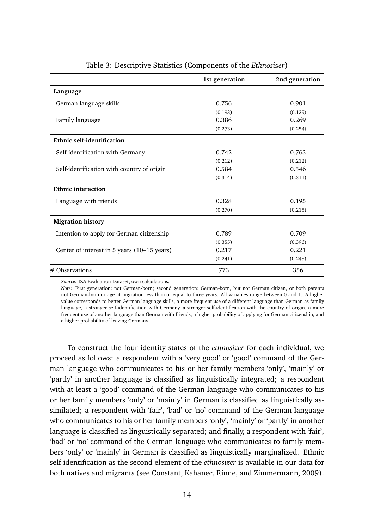|                                             | 1st generation | 2nd generation |
|---------------------------------------------|----------------|----------------|
| Language                                    |                |                |
| German language skills                      | 0.756          | 0.901          |
|                                             | (0.193)        | (0.129)        |
| Family language                             | 0.386          | 0.269          |
|                                             | (0.273)        | (0.254)        |
| <b>Ethnic self-identification</b>           |                |                |
| Self-identification with Germany            | 0.742          | 0.763          |
|                                             | (0.212)        | (0.212)        |
| Self-identification with country of origin  | 0.584          | 0.546          |
|                                             | (0.314)        | (0.311)        |
| <b>Ethnic interaction</b>                   |                |                |
| Language with friends                       | 0.328          | 0.195          |
|                                             | (0.270)        | (0.215)        |
| <b>Migration history</b>                    |                |                |
| Intention to apply for German citizenship   | 0.789          | 0.709          |
|                                             | (0.355)        | (0.396)        |
| Center of interest in 5 years (10–15 years) | 0.217          | 0.221          |
|                                             | (0.241)        | (0.245)        |
| $#$ Observations                            | 773            | 356            |

Table 3: Descriptive Statistics (Components of the *Ethnosizer*)

*Source:* IZA Evaluation Dataset, own calculations.

*Note:* First generation: not German-born; second generation: German-born, but not German citizen, or both parents not German-born or age at migration less than or equal to three years. All variables range between 0 and 1. A higher value corresponds to better German language skills, a more frequent use of a different language than German as family language, a stronger self-identification with Germany, a stronger self-identification with the country of origin, a more frequent use of another language than German with friends, a higher probability of applying for German citizenship, and a higher probability of leaving Germany.

To construct the four identity states of the *ethnosizer* for each individual, we proceed as follows: a respondent with a 'very good' or 'good' command of the German language who communicates to his or her family members 'only', 'mainly' or 'partly' in another language is classified as linguistically integrated; a respondent with at least a 'good' command of the German language who communicates to his or her family members 'only' or 'mainly' in German is classified as linguistically assimilated; a respondent with 'fair', 'bad' or 'no' command of the German language who communicates to his or her family members 'only', 'mainly' or 'partly' in another language is classified as linguistically separated; and finally, a respondent with 'fair', 'bad' or 'no' command of the German language who communicates to family members 'only' or 'mainly' in German is classified as linguistically marginalized. Ethnic self-identification as the second element of the *ethnosizer* is available in our data for both natives and migrants (see Constant, Kahanec, Rinne, and Zimmermann, 2009).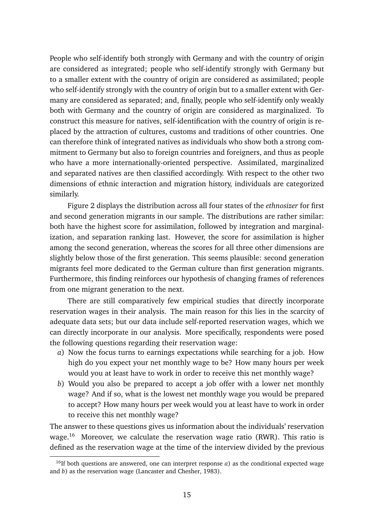People who self-identify both strongly with Germany and with the country of origin are considered as integrated; people who self-identify strongly with Germany but to a smaller extent with the country of origin are considered as assimilated; people who self-identify strongly with the country of origin but to a smaller extent with Germany are considered as separated; and, finally, people who self-identify only weakly both with Germany and the country of origin are considered as marginalized. To construct this measure for natives, self-identification with the country of origin is replaced by the attraction of cultures, customs and traditions of other countries. One can therefore think of integrated natives as individuals who show both a strong commitment to Germany but also to foreign countries and foreigners, and thus as people who have a more internationally-oriented perspective. Assimilated, marginalized and separated natives are then classified accordingly. With respect to the other two dimensions of ethnic interaction and migration history, individuals are categorized similarly.

Figure 2 displays the distribution across all four states of the *ethnosizer* for first and second generation migrants in our sample. The distributions are rather similar: both have the highest score for assimilation, followed by integration and marginalization, and separation ranking last. However, the score for assimilation is higher among the second generation, whereas the scores for all three other dimensions are slightly below those of the first generation. This seems plausible: second generation migrants feel more dedicated to the German culture than first generation migrants. Furthermore, this finding reinforces our hypothesis of changing frames of references from one migrant generation to the next.

There are still comparatively few empirical studies that directly incorporate reservation wages in their analysis. The main reason for this lies in the scarcity of adequate data sets; but our data include self-reported reservation wages, which we can directly incorporate in our analysis. More specifically, respondents were posed the following questions regarding their reservation wage:

- *a*) Now the focus turns to earnings expectations while searching for a job. How high do you expect your net monthly wage to be? How many hours per week would you at least have to work in order to receive this net monthly wage?
- *b*) Would you also be prepared to accept a job offer with a lower net monthly wage? And if so, what is the lowest net monthly wage you would be prepared to accept? How many hours per week would you at least have to work in order to receive this net monthly wage?

The answer to these questions gives us information about the individuals' reservation wage.<sup>16</sup> Moreover, we calculate the reservation wage ratio (RWR). This ratio is defined as the reservation wage at the time of the interview divided by the previous

<sup>&</sup>lt;sup>16</sup>If both questions are answered, one can interpret response  $a$ ) as the conditional expected wage and *b*) as the reservation wage (Lancaster and Chesher, 1983).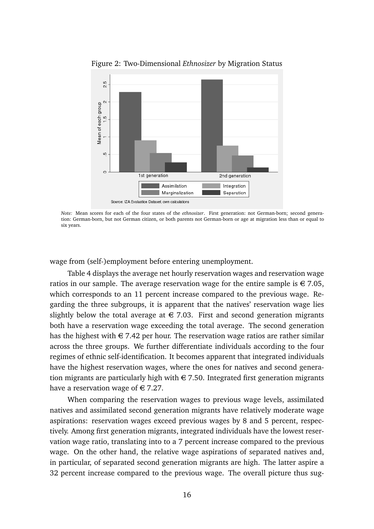

Figure 2: Two-Dimensional *Ethnosizer* by Migration Status

*Note:* Mean scores for each of the four states of the *ethnosizer*. First generation: not German-born; second generation: German-born, but not German citizen, or both parents not German-born or age at migration less than or equal to six years.

wage from (self-)employment before entering unemployment.

Table 4 displays the average net hourly reservation wages and reservation wage ratios in our sample. The average reservation wage for the entire sample is  $\in 7.05$ , which corresponds to an 11 percent increase compared to the previous wage. Regarding the three subgroups, it is apparent that the natives' reservation wage lies slightly below the total average at  $\epsilon$  7.03. First and second generation migrants both have a reservation wage exceeding the total average. The second generation has the highest with  $\epsilon$  7.42 per hour. The reservation wage ratios are rather similar across the three groups. We further differentiate individuals according to the four regimes of ethnic self-identification. It becomes apparent that integrated individuals have the highest reservation wages, where the ones for natives and second generation migrants are particularly high with  $\in$  7.50. Integrated first generation migrants have a reservation wage of  $\in 7.27$ .

When comparing the reservation wages to previous wage levels, assimilated natives and assimilated second generation migrants have relatively moderate wage aspirations: reservation wages exceed previous wages by 8 and 5 percent, respectively. Among first generation migrants, integrated individuals have the lowest reservation wage ratio, translating into to a 7 percent increase compared to the previous wage. On the other hand, the relative wage aspirations of separated natives and, in particular, of separated second generation migrants are high. The latter aspire a 32 percent increase compared to the previous wage. The overall picture thus sug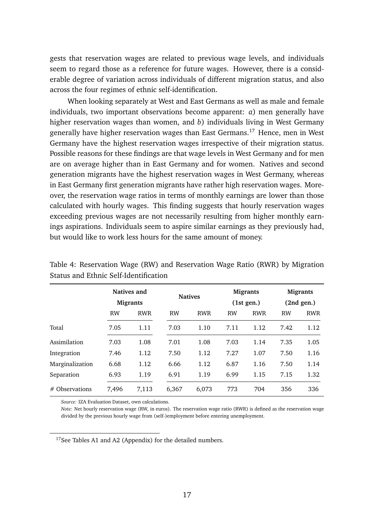gests that reservation wages are related to previous wage levels, and individuals seem to regard those as a reference for future wages. However, there is a considerable degree of variation across individuals of different migration status, and also across the four regimes of ethnic self-identification.

When looking separately at West and East Germans as well as male and female individuals, two important observations become apparent: *a*) men generally have higher reservation wages than women, and *b*) individuals living in West Germany generally have higher reservation wages than East Germans.<sup>17</sup> Hence, men in West Germany have the highest reservation wages irrespective of their migration status. Possible reasons for these findings are that wage levels in West Germany and for men are on average higher than in East Germany and for women. Natives and second generation migrants have the highest reservation wages in West Germany, whereas in East Germany first generation migrants have rather high reservation wages. Moreover, the reservation wage ratios in terms of monthly earnings are lower than those calculated with hourly wages. This finding suggests that hourly reservation wages exceeding previous wages are not necessarily resulting from higher monthly earnings aspirations. Individuals seem to aspire similar earnings as they previously had, but would like to work less hours for the same amount of money.

|                 |           | Natives and<br><b>Migrants</b> |           | <b>Natives</b> |           | <b>Migrants</b><br>(1st gen.) |           | <b>Migrants</b><br>(2nd gen.) |
|-----------------|-----------|--------------------------------|-----------|----------------|-----------|-------------------------------|-----------|-------------------------------|
|                 | <b>RW</b> | <b>RWR</b>                     | <b>RW</b> | <b>RWR</b>     | <b>RW</b> | <b>RWR</b>                    | <b>RW</b> | <b>RWR</b>                    |
| Total           | 7.05      | 1.11                           | 7.03      | 1.10           | 7.11      | 1.12                          | 7.42      | 1.12                          |
| Assimilation    | 7.03      | 1.08                           | 7.01      | 1.08           | 7.03      | 1.14                          | 7.35      | 1.05                          |
| Integration     | 7.46      | 1.12                           | 7.50      | 1.12           | 7.27      | 1.07                          | 7.50      | 1.16                          |
| Marginalization | 6.68      | 1.12                           | 6.66      | 1.12           | 6.87      | 1.16                          | 7.50      | 1.14                          |
| Separation      | 6.93      | 1.19                           | 6.91      | 1.19           | 6.99      | 1.15                          | 7.15      | 1.32                          |
| # Observations  | 7,496     | 7,113                          | 6,367     | 6,073          | 773       | 704                           | 356       | 336                           |

Table 4: Reservation Wage (RW) and Reservation Wage Ratio (RWR) by Migration Status and Ethnic Self-Identification

*Source:* IZA Evaluation Dataset, own calculations.

*Note:* Net hourly reservation wage (RW, in euros). The reservation wage ratio (RWR) is defined as the reservation wage divided by the previous hourly wage from (self-)employment before entering unemployment.

<sup>17</sup>See Tables A1 and A2 (Appendix) for the detailed numbers.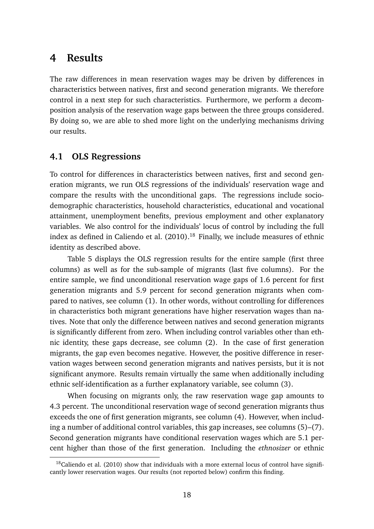### **4 Results**

The raw differences in mean reservation wages may be driven by differences in characteristics between natives, first and second generation migrants. We therefore control in a next step for such characteristics. Furthermore, we perform a decomposition analysis of the reservation wage gaps between the three groups considered. By doing so, we are able to shed more light on the underlying mechanisms driving our results.

#### **4.1 OLS Regressions**

To control for differences in characteristics between natives, first and second generation migrants, we run OLS regressions of the individuals' reservation wage and compare the results with the unconditional gaps. The regressions include sociodemographic characteristics, household characteristics, educational and vocational attainment, unemployment benefits, previous employment and other explanatory variables. We also control for the individuals' locus of control by including the full index as defined in Caliendo et al. (2010).<sup>18</sup> Finally, we include measures of ethnic identity as described above.

Table 5 displays the OLS regression results for the entire sample (first three columns) as well as for the sub-sample of migrants (last five columns). For the entire sample, we find unconditional reservation wage gaps of 1.6 percent for first generation migrants and 5.9 percent for second generation migrants when compared to natives, see column (1). In other words, without controlling for differences in characteristics both migrant generations have higher reservation wages than natives. Note that only the difference between natives and second generation migrants is significantly different from zero. When including control variables other than ethnic identity, these gaps decrease, see column (2). In the case of first generation migrants, the gap even becomes negative. However, the positive difference in reservation wages between second generation migrants and natives persists, but it is not significant anymore. Results remain virtually the same when additionally including ethnic self-identification as a further explanatory variable, see column (3).

When focusing on migrants only, the raw reservation wage gap amounts to 4.3 percent. The unconditional reservation wage of second generation migrants thus exceeds the one of first generation migrants, see column (4). However, when including a number of additional control variables, this gap increases, see columns (5)–(7). Second generation migrants have conditional reservation wages which are 5.1 percent higher than those of the first generation. Including the *ethnosizer* or ethnic

 $18$ Caliendo et al. (2010) show that individuals with a more external locus of control have significantly lower reservation wages. Our results (not reported below) confirm this finding.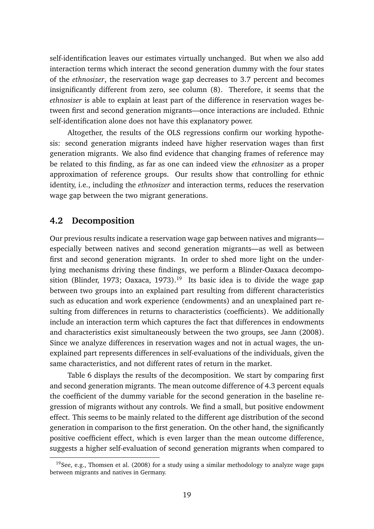self-identification leaves our estimates virtually unchanged. But when we also add interaction terms which interact the second generation dummy with the four states of the *ethnosizer*, the reservation wage gap decreases to 3.7 percent and becomes insignificantly different from zero, see column (8). Therefore, it seems that the *ethnosizer* is able to explain at least part of the difference in reservation wages between first and second generation migrants—once interactions are included. Ethnic self-identification alone does not have this explanatory power.

Altogether, the results of the OLS regressions confirm our working hypothesis: second generation migrants indeed have higher reservation wages than first generation migrants. We also find evidence that changing frames of reference may be related to this finding, as far as one can indeed view the *ethnosizer* as a proper approximation of reference groups. Our results show that controlling for ethnic identity, i.e., including the *ethnosizer* and interaction terms, reduces the reservation wage gap between the two migrant generations.

#### **4.2 Decomposition**

Our previous results indicate a reservation wage gap between natives and migrants especially between natives and second generation migrants—as well as between first and second generation migrants. In order to shed more light on the underlying mechanisms driving these findings, we perform a Blinder-Oaxaca decomposition (Blinder, 1973; Oaxaca, 1973).<sup>19</sup> Its basic idea is to divide the wage gap between two groups into an explained part resulting from different characteristics such as education and work experience (endowments) and an unexplained part resulting from differences in returns to characteristics (coefficients). We additionally include an interaction term which captures the fact that differences in endowments and characteristics exist simultaneously between the two groups, see Jann (2008). Since we analyze differences in reservation wages and not in actual wages, the unexplained part represents differences in self-evaluations of the individuals, given the same characteristics, and not different rates of return in the market.

Table 6 displays the results of the decomposition. We start by comparing first and second generation migrants. The mean outcome difference of 4.3 percent equals the coefficient of the dummy variable for the second generation in the baseline regression of migrants without any controls. We find a small, but positive endowment effect. This seems to be mainly related to the different age distribution of the second generation in comparison to the first generation. On the other hand, the significantly positive coefficient effect, which is even larger than the mean outcome difference, suggests a higher self-evaluation of second generation migrants when compared to

<sup>&</sup>lt;sup>19</sup>See, e.g., Thomsen et al. (2008) for a study using a similar methodology to analyze wage gaps between migrants and natives in Germany.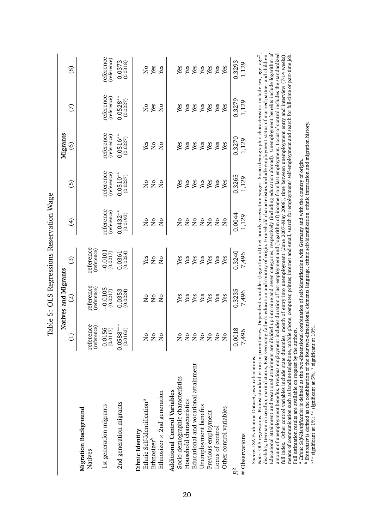| reference<br>$0.0516**$<br>(reference)<br>0.3270<br>(0.0227)<br>Yes<br>Yes<br>Yes<br>Yes<br>Yes<br>Yes<br>Yes<br>Yes<br>$\rm _{N}^{\circ}$<br>$\overline{S}$<br>ତ୍ର<br>reference<br>$0.0510***$<br>(reference)<br>0.3265<br>(0.0227)<br>Yes<br>$\mathop{\rm S}\nolimits$<br>$_{\rm N_o}$<br>Yes<br>Yes<br>Yes<br>Yes<br>Yes<br>Yes<br>$\overline{a}$<br>ල<br>reference<br>$0.0432***$<br>(reference)<br>0.0044<br>(0.0193)<br>$\overline{\mathsf{a}}$<br>$\mathop{\mathsf{S}}\nolimits$<br>$\overline{N}$<br>$\bigoplus$<br>$\overline{\mathsf{S}}$<br>$\overline{M}$<br>$\overline{\mathsf{S}}$<br>$\overline{\mathsf{S}}$<br>$\overline{M}$<br>$\overline{\mathsf{a}}$<br>$\overline{a}$<br>reference<br>(reference)<br>$-0.0101$<br>0.3240<br>(0.0217)<br>$0.0361$<br>$(0.0224)$<br>Yes<br>Yes<br>Yes<br>Yes<br>Yes<br>Yes<br>Yes<br>$\overline{a}$<br>Yes<br>$\overline{\mathsf{a}}$<br>ි<br>reference<br>(reference)<br>$-0.0105$<br>0.3235<br>0.0353<br>(0.0224)<br>(0.0217)<br>$\overline{a}$<br>$\overline{\mathsf{a}}$<br>$\overline{M}$<br>Yes<br>Yes<br>Yes<br>Yes<br>Yes<br>Yes<br>Yes<br><u>ର</u><br>reference<br>$0.0588***$<br>(reference)<br>$0.0156$<br>$(0.0117)$<br>(0.0163)<br>0.0018<br>Ş<br>Ş<br>å<br>å<br>ş<br>ş<br>ž<br>ž<br>Ë<br>ž<br>ž<br>Educational and vocational attainment<br>Socio-demographic characteristics<br><b>Additional Control Variables</b><br>Ethnosizer $\times$ 2nd generation<br>Ethnic Self-Identification <sup>a</sup><br>Household characteristics<br>2nd generation migrants<br>1st generation migrants<br>Unemployment benefits<br>Other control variables<br>Migration Background<br>Previous employment<br>Locus of control<br>Ethnic Identity<br>Ethnosizer <sup>o</sup><br>Natives<br>$R^2$ |                |       | Natives and Migrants |       |       |       | Migrants |                                |                                                 |
|----------------------------------------------------------------------------------------------------------------------------------------------------------------------------------------------------------------------------------------------------------------------------------------------------------------------------------------------------------------------------------------------------------------------------------------------------------------------------------------------------------------------------------------------------------------------------------------------------------------------------------------------------------------------------------------------------------------------------------------------------------------------------------------------------------------------------------------------------------------------------------------------------------------------------------------------------------------------------------------------------------------------------------------------------------------------------------------------------------------------------------------------------------------------------------------------------------------------------------------------------------------------------------------------------------------------------------------------------------------------------------------------------------------------------------------------------------------------------------------------------------------------------------------------------------------------------------------------------------------------------------------------------------------------------------------------------------------------------------------------------|----------------|-------|----------------------|-------|-------|-------|----------|--------------------------------|-------------------------------------------------|
|                                                                                                                                                                                                                                                                                                                                                                                                                                                                                                                                                                                                                                                                                                                                                                                                                                                                                                                                                                                                                                                                                                                                                                                                                                                                                                                                                                                                                                                                                                                                                                                                                                                                                                                                                    |                |       |                      |       |       |       |          | E                              | $\circledS$                                     |
|                                                                                                                                                                                                                                                                                                                                                                                                                                                                                                                                                                                                                                                                                                                                                                                                                                                                                                                                                                                                                                                                                                                                                                                                                                                                                                                                                                                                                                                                                                                                                                                                                                                                                                                                                    |                |       |                      |       |       |       |          |                                |                                                 |
|                                                                                                                                                                                                                                                                                                                                                                                                                                                                                                                                                                                                                                                                                                                                                                                                                                                                                                                                                                                                                                                                                                                                                                                                                                                                                                                                                                                                                                                                                                                                                                                                                                                                                                                                                    |                |       |                      |       |       |       |          | reference<br>(reference)       | reference<br>(reference)                        |
|                                                                                                                                                                                                                                                                                                                                                                                                                                                                                                                                                                                                                                                                                                                                                                                                                                                                                                                                                                                                                                                                                                                                                                                                                                                                                                                                                                                                                                                                                                                                                                                                                                                                                                                                                    |                |       |                      |       |       |       |          | $0.0528**$<br>(0.0227)         | $\begin{array}{c} 0.0373 \\ 0.0318 \end{array}$ |
|                                                                                                                                                                                                                                                                                                                                                                                                                                                                                                                                                                                                                                                                                                                                                                                                                                                                                                                                                                                                                                                                                                                                                                                                                                                                                                                                                                                                                                                                                                                                                                                                                                                                                                                                                    |                |       |                      |       |       |       |          | $\mathop{\mathsf{S}}\nolimits$ | Ş                                               |
|                                                                                                                                                                                                                                                                                                                                                                                                                                                                                                                                                                                                                                                                                                                                                                                                                                                                                                                                                                                                                                                                                                                                                                                                                                                                                                                                                                                                                                                                                                                                                                                                                                                                                                                                                    |                |       |                      |       |       |       |          | Yes                            | Yes                                             |
|                                                                                                                                                                                                                                                                                                                                                                                                                                                                                                                                                                                                                                                                                                                                                                                                                                                                                                                                                                                                                                                                                                                                                                                                                                                                                                                                                                                                                                                                                                                                                                                                                                                                                                                                                    |                |       |                      |       |       |       |          | $\overline{\mathsf{z}}$        | Yes                                             |
|                                                                                                                                                                                                                                                                                                                                                                                                                                                                                                                                                                                                                                                                                                                                                                                                                                                                                                                                                                                                                                                                                                                                                                                                                                                                                                                                                                                                                                                                                                                                                                                                                                                                                                                                                    |                |       |                      |       |       |       |          |                                |                                                 |
|                                                                                                                                                                                                                                                                                                                                                                                                                                                                                                                                                                                                                                                                                                                                                                                                                                                                                                                                                                                                                                                                                                                                                                                                                                                                                                                                                                                                                                                                                                                                                                                                                                                                                                                                                    |                |       |                      |       |       |       |          | Yes                            | Yes                                             |
|                                                                                                                                                                                                                                                                                                                                                                                                                                                                                                                                                                                                                                                                                                                                                                                                                                                                                                                                                                                                                                                                                                                                                                                                                                                                                                                                                                                                                                                                                                                                                                                                                                                                                                                                                    |                |       |                      |       |       |       |          | Yes                            | Yes                                             |
|                                                                                                                                                                                                                                                                                                                                                                                                                                                                                                                                                                                                                                                                                                                                                                                                                                                                                                                                                                                                                                                                                                                                                                                                                                                                                                                                                                                                                                                                                                                                                                                                                                                                                                                                                    |                |       |                      |       |       |       |          | Yes                            | Yes                                             |
|                                                                                                                                                                                                                                                                                                                                                                                                                                                                                                                                                                                                                                                                                                                                                                                                                                                                                                                                                                                                                                                                                                                                                                                                                                                                                                                                                                                                                                                                                                                                                                                                                                                                                                                                                    |                |       |                      |       |       |       |          | Yes                            | Yes                                             |
|                                                                                                                                                                                                                                                                                                                                                                                                                                                                                                                                                                                                                                                                                                                                                                                                                                                                                                                                                                                                                                                                                                                                                                                                                                                                                                                                                                                                                                                                                                                                                                                                                                                                                                                                                    |                |       |                      |       |       |       |          | Yes                            | Yes                                             |
|                                                                                                                                                                                                                                                                                                                                                                                                                                                                                                                                                                                                                                                                                                                                                                                                                                                                                                                                                                                                                                                                                                                                                                                                                                                                                                                                                                                                                                                                                                                                                                                                                                                                                                                                                    |                |       |                      |       |       |       |          | Yes                            | Yes                                             |
|                                                                                                                                                                                                                                                                                                                                                                                                                                                                                                                                                                                                                                                                                                                                                                                                                                                                                                                                                                                                                                                                                                                                                                                                                                                                                                                                                                                                                                                                                                                                                                                                                                                                                                                                                    |                |       |                      |       |       |       |          | Yes                            | Yes                                             |
|                                                                                                                                                                                                                                                                                                                                                                                                                                                                                                                                                                                                                                                                                                                                                                                                                                                                                                                                                                                                                                                                                                                                                                                                                                                                                                                                                                                                                                                                                                                                                                                                                                                                                                                                                    |                |       |                      |       |       |       |          | 0.3279                         | 0.3293                                          |
|                                                                                                                                                                                                                                                                                                                                                                                                                                                                                                                                                                                                                                                                                                                                                                                                                                                                                                                                                                                                                                                                                                                                                                                                                                                                                                                                                                                                                                                                                                                                                                                                                                                                                                                                                    | # Observations | 7,496 | 7,496                | 7,496 | 1,129 | 1,129 | 1,129    | 1,129                          | 1,129                                           |

disability, German citizenship, marital status, East Germany, father's education and country of origin. Household characteristics include employment status of married partner and children.<br>Educational attainment and vocati Educational attainment and vocational attainment are divided up into nine and seven categories, respectively (including education abroad). Unemployment benefits include logarithm of amount of unemployment benefits. Previous employment includes duration of last employment and (logarithm of) income from last employment. Locus of control includes the standardized disability, German citizenship, marital status, East Germany, father's education and country of origin. Household characteristics include employment status of married partner and children. full index. Other control variables include state dummies, month of entry into unemployment (June 2007–May 2008), time between unemployment entry and interview (7-14 weeks), means of communication such as landline telephone, mobile phone, computer, printer, internet and email, search for employment/ self-employment and search for full-time or part-time job. Full estimation results are available on request by the authors. Full estimation results are available on request by the authors.

*Ethnic Self-Identification* is defined as the two-dimensional combination of self-identification with Germany and with the country of origin.

ab*Ethnosizer* is defined as the combination of the four two-dimensional elements language, ethnic self-identification, ethnic interaction and migration history.

\*\*\* significant at 1%; \*\* significant at 5%; \* significant at 10%.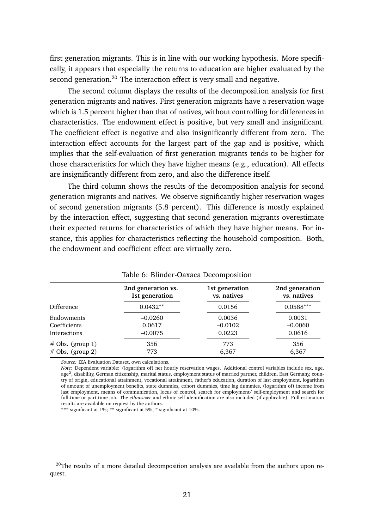first generation migrants. This is in line with our working hypothesis. More specifically, it appears that especially the returns to education are higher evaluated by the second generation.<sup>20</sup> The interaction effect is very small and negative.

The second column displays the results of the decomposition analysis for first generation migrants and natives. First generation migrants have a reservation wage which is 1.5 percent higher than that of natives, without controlling for differences in characteristics. The endowment effect is positive, but very small and insignificant. The coefficient effect is negative and also insignificantly different from zero. The interaction effect accounts for the largest part of the gap and is positive, which implies that the self-evaluation of first generation migrants tends to be higher for those characteristics for which they have higher means (e.g., education). All effects are insignificantly different from zero, and also the difference itself.

The third column shows the results of the decomposition analysis for second generation migrants and natives. We observe significantly higher reservation wages of second generation migrants (5.8 percent). This difference is mostly explained by the interaction effect, suggesting that second generation migrants overestimate their expected returns for characteristics of which they have higher means. For instance, this applies for characteristics reflecting the household composition. Both, the endowment and coefficient effect are virtually zero.

|                    | 2nd generation vs.<br>1st generation | 1st generation<br>vs. natives | 2nd generation<br>vs. natives |
|--------------------|--------------------------------------|-------------------------------|-------------------------------|
| Difference         | $0.0432**$                           | 0.0156                        | $0.0588***$                   |
| Endowments         | $-0.0260$                            | 0.0036                        | 0.0031                        |
| Coefficients       | 0.0617                               | $-0.0102$                     | $-0.0060$                     |
| Interactions       | $-0.0075$                            | 0.0223                        | 0.0616                        |
| $#$ Obs. (group 1) | 356                                  | 773                           | 356                           |
| $#$ Obs. (group 2) | 773                                  | 6,367                         | 6,367                         |

Table 6: Blinder-Oaxaca Decomposition

*Source:* IZA Evaluation Dataset, own calculations.

*Note:* Dependent variable: (logarithm of) net hourly reservation wages. Additional control variables include sex, age, age<sup>2</sup>, disability, German citizenship, marital status, employment status of married partner, children, East Germany, country of origin, educational attainment, vocational attainment, father's education, duration of last employment, logarithm of amount of unemployment benefits, state dummies, cohort dummies, time lag dummies, (logarithm of) income from last employment, means of communication, locus of control, search for employment/ self-employment and search for full-time or part-time job. The *ethnosizer* and ethnic self-identification are also included (if applicable). Full estimation results are available on request by the authors.

\*\*\* significant at 1%; \*\* significant at 5%; \* significant at 10%.

 $20$ The results of a more detailed decomposition analysis are available from the authors upon request.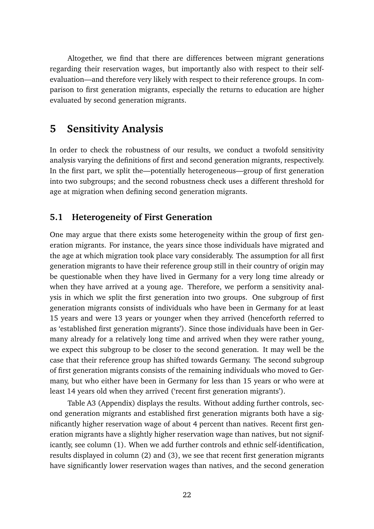Altogether, we find that there are differences between migrant generations regarding their reservation wages, but importantly also with respect to their selfevaluation—and therefore very likely with respect to their reference groups. In comparison to first generation migrants, especially the returns to education are higher evaluated by second generation migrants.

## **5 Sensitivity Analysis**

In order to check the robustness of our results, we conduct a twofold sensitivity analysis varying the definitions of first and second generation migrants, respectively. In the first part, we split the—potentially heterogeneous—group of first generation into two subgroups; and the second robustness check uses a different threshold for age at migration when defining second generation migrants.

### **5.1 Heterogeneity of First Generation**

One may argue that there exists some heterogeneity within the group of first generation migrants. For instance, the years since those individuals have migrated and the age at which migration took place vary considerably. The assumption for all first generation migrants to have their reference group still in their country of origin may be questionable when they have lived in Germany for a very long time already or when they have arrived at a young age. Therefore, we perform a sensitivity analysis in which we split the first generation into two groups. One subgroup of first generation migrants consists of individuals who have been in Germany for at least 15 years and were 13 years or younger when they arrived (henceforth referred to as 'established first generation migrants'). Since those individuals have been in Germany already for a relatively long time and arrived when they were rather young, we expect this subgroup to be closer to the second generation. It may well be the case that their reference group has shifted towards Germany. The second subgroup of first generation migrants consists of the remaining individuals who moved to Germany, but who either have been in Germany for less than 15 years or who were at least 14 years old when they arrived ('recent first generation migrants').

Table A3 (Appendix) displays the results. Without adding further controls, second generation migrants and established first generation migrants both have a significantly higher reservation wage of about 4 percent than natives. Recent first generation migrants have a slightly higher reservation wage than natives, but not significantly, see column (1). When we add further controls and ethnic self-identification, results displayed in column (2) and (3), we see that recent first generation migrants have significantly lower reservation wages than natives, and the second generation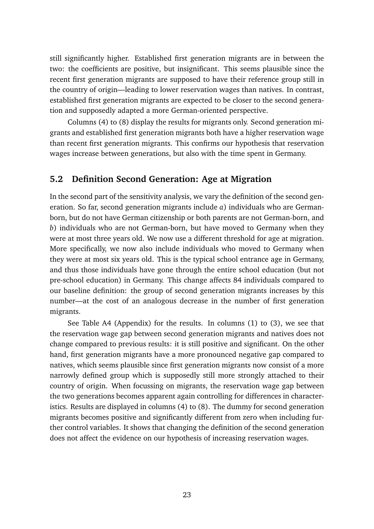still significantly higher. Established first generation migrants are in between the two: the coefficients are positive, but insignificant. This seems plausible since the recent first generation migrants are supposed to have their reference group still in the country of origin—leading to lower reservation wages than natives. In contrast, established first generation migrants are expected to be closer to the second generation and supposedly adapted a more German-oriented perspective.

Columns (4) to (8) display the results for migrants only. Second generation migrants and established first generation migrants both have a higher reservation wage than recent first generation migrants. This confirms our hypothesis that reservation wages increase between generations, but also with the time spent in Germany.

#### **5.2 Definition Second Generation: Age at Migration**

In the second part of the sensitivity analysis, we vary the definition of the second generation. So far, second generation migrants include *a*) individuals who are Germanborn, but do not have German citizenship or both parents are not German-born, and *b*) individuals who are not German-born, but have moved to Germany when they were at most three years old. We now use a different threshold for age at migration. More specifically, we now also include individuals who moved to Germany when they were at most six years old. This is the typical school entrance age in Germany, and thus those individuals have gone through the entire school education (but not pre-school education) in Germany. This change affects 84 individuals compared to our baseline definition: the group of second generation migrants increases by this number—at the cost of an analogous decrease in the number of first generation migrants.

See Table A4 (Appendix) for the results. In columns (1) to (3), we see that the reservation wage gap between second generation migrants and natives does not change compared to previous results: it is still positive and significant. On the other hand, first generation migrants have a more pronounced negative gap compared to natives, which seems plausible since first generation migrants now consist of a more narrowly defined group which is supposedly still more strongly attached to their country of origin. When focussing on migrants, the reservation wage gap between the two generations becomes apparent again controlling for differences in characteristics. Results are displayed in columns (4) to (8). The dummy for second generation migrants becomes positive and significantly different from zero when including further control variables. It shows that changing the definition of the second generation does not affect the evidence on our hypothesis of increasing reservation wages.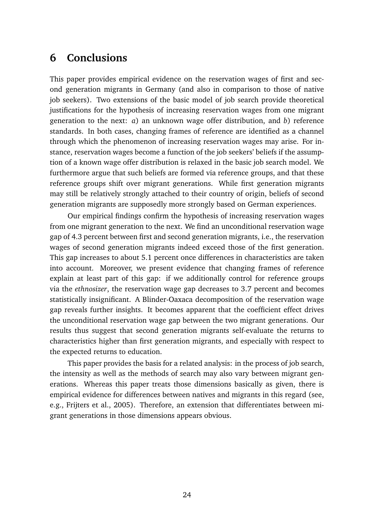## **6 Conclusions**

This paper provides empirical evidence on the reservation wages of first and second generation migrants in Germany (and also in comparison to those of native job seekers). Two extensions of the basic model of job search provide theoretical justifications for the hypothesis of increasing reservation wages from one migrant generation to the next: *a*) an unknown wage offer distribution, and *b*) reference standards. In both cases, changing frames of reference are identified as a channel through which the phenomenon of increasing reservation wages may arise. For instance, reservation wages become a function of the job seekers' beliefs if the assumption of a known wage offer distribution is relaxed in the basic job search model. We furthermore argue that such beliefs are formed via reference groups, and that these reference groups shift over migrant generations. While first generation migrants may still be relatively strongly attached to their country of origin, beliefs of second generation migrants are supposedly more strongly based on German experiences.

Our empirical findings confirm the hypothesis of increasing reservation wages from one migrant generation to the next. We find an unconditional reservation wage gap of 4.3 percent between first and second generation migrants, i.e., the reservation wages of second generation migrants indeed exceed those of the first generation. This gap increases to about 5.1 percent once differences in characteristics are taken into account. Moreover, we present evidence that changing frames of reference explain at least part of this gap: if we additionally control for reference groups via the *ethnosizer*, the reservation wage gap decreases to 3.7 percent and becomes statistically insignificant. A Blinder-Oaxaca decomposition of the reservation wage gap reveals further insights. It becomes apparent that the coefficient effect drives the unconditional reservation wage gap between the two migrant generations. Our results thus suggest that second generation migrants self-evaluate the returns to characteristics higher than first generation migrants, and especially with respect to the expected returns to education.

This paper provides the basis for a related analysis: in the process of job search, the intensity as well as the methods of search may also vary between migrant generations. Whereas this paper treats those dimensions basically as given, there is empirical evidence for differences between natives and migrants in this regard (see, e.g., Frijters et al., 2005). Therefore, an extension that differentiates between migrant generations in those dimensions appears obvious.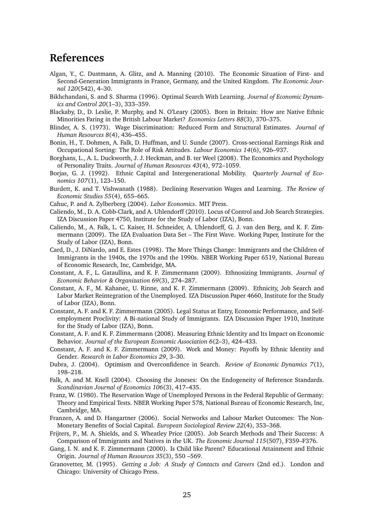## **References**

- Algan, Y., C. Dustmann, A. Glitz, and A. Manning (2010). The Economic Situation of First- and Second-Generation Immigrants in France, Germany, and the United Kingdom. *The Economic Journal 120*(542), 4–30.
- Bikhchandani, S. and S. Sharma (1996). Optimal Search With Learning. *Journal of Economic Dynamics and Control 20*(1–3), 333–359.
- Blackaby, D., D. Leslie, P. Murphy, and N. O'Leary (2005). Born in Britain: How are Native Ethnic Minorities Faring in the British Labour Market? *Economics Letters 88*(3), 370–375.
- Blinder, A. S. (1973). Wage Discrimination: Reduced Form and Structural Estimates. *Journal of Human Resources 8*(4), 436–455.
- Bonin, H., T. Dohmen, A. Falk, D. Huffman, and U. Sunde (2007). Cross-sectional Earnings Risk and Occupational Sorting: The Role of Risk Attitudes. *Labour Economics 14*(6), 926–937.
- Borghans, L., A. L. Duckworth, J. J. Heckman, and B. ter Weel (2008). The Economics and Psychology of Personality Traits. *Journal of Human Resources 43*(4), 972–1059.
- Borjas, G. J. (1992). Ethnic Capital and Intergenerational Mobility. *Quarterly Journal of Economics 107*(1), 123–150.
- Burdett, K. and T. Vishwanath (1988). Declining Reservation Wages and Learning. *The Review of Economic Studies 55*(4), 655–665.
- Cahuc, P. and A. Zylberberg (2004). *Labor Economics*. MIT Press.
- Caliendo, M., D. A. Cobb-Clark, and A. Uhlendorff (2010). Locus of Control and Job Search Strategies. IZA Discussion Paper 4750, Institute for the Study of Labor (IZA), Bonn.
- Caliendo, M., A. Falk, L. C. Kaiser, H. Schneider, A. Uhlendorff, G. J. van den Berg, and K. F. Zimmermann (2009). The IZA Evaluation Data Set – The First Wave. Working Paper, Institute for the Study of Labor (IZA), Bonn.
- Card, D., J. DiNardo, and E. Estes (1998). The More Things Change: Immigrants and the Children of Immigrants in the 1940s, the 1970s and the 1990s. NBER Working Paper 6519, National Bureau of Economic Research, Inc, Cambridge, MA.
- Constant, A. F., L. Gataullina, and K. F. Zimmermann (2009). Ethnosizing Immigrants. *Journal of Economic Behavior & Organization 69*(3), 274–287.
- Constant, A. F., M. Kahanec, U. Rinne, and K. F. Zimmermann (2009). Ethnicity, Job Search and Labor Market Reintegration of the Unemployed. IZA Discussion Paper 4660, Institute for the Study of Labor (IZA), Bonn.
- Constant, A. F. and K. F. Zimmermann (2005). Legal Status at Entry, Economic Performance, and Selfemployment Proclivity: A Bi-national Study of Immigrants. IZA Discussion Paper 1910, Institute for the Study of Labor (IZA), Bonn.
- Constant, A. F. and K. F. Zimmermann (2008). Measuring Ethnic Identity and Its Impact on Economic Behavior. *Journal of the European Economic Association 6*(2–3), 424–433.
- Constant, A. F. and K. F. Zimmermann (2009). Work and Money: Payoffs by Ethnic Identity and Gender. *Research in Labor Economics 29*, 3–30.
- Dubra, J. (2004). Optimism and Overconfidence in Search. *Review of Economic Dynamics 7*(1), 198–218.
- Falk, A. and M. Knell (2004). Choosing the Joneses: On the Endogeneity of Reference Standards. *Scandinavian Journal of Economics 106*(3), 417–435.
- Franz, W. (1980). The Reservation Wage of Unemployed Persons in the Federal Republic of Germany: Theory and Empirical Tests. NBER Working Paper 578, National Bureau of Economic Research, Inc, Cambridge, MA.
- Franzen, A. and D. Hangartner (2006). Social Networks and Labour Market Outcomes: The Non-Monetary Benefits of Social Capital. *European Sociological Review 22*(4), 353–368.
- Frijters, P., M. A. Shields, and S. Wheatley Price (2005). Job Search Methods and Their Success: A Comparison of Immigrants and Natives in the UK. *The Economic Journal 115*(507), F359–F376.
- Gang, I. N. and K. F. Zimmermann (2000). Is Child like Parent? Educational Attainment and Ethnic Origin. *Journal of Human Resources 35*(3), 550 –569.
- Granovetter, M. (1995). *Getting a Job: A Study of Contacts and Careers* (2nd ed.). London and Chicago: University of Chicago Press.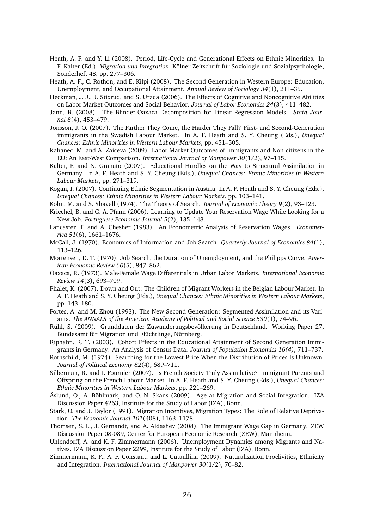- Heath, A. F. and Y. Li (2008). Period, Life-Cycle and Generational Effects on Ethnic Minorities. In F. Kalter (Ed.), *Migration und Integration*, Kölner Zeitschrift für Soziologie und Sozialpsychologie, Sonderheft 48, pp. 277–306.
- Heath, A. F., C. Rothon, and E. Kilpi (2008). The Second Generation in Western Europe: Education, Unemployment, and Occupational Attainment. *Annual Review of Sociology 34*(1), 211–35.
- Heckman, J. J., J. Stixrud, and S. Urzua (2006). The Effects of Cognitive and Noncognitive Abilities on Labor Market Outcomes and Social Behavior. *Journal of Labor Economics 24*(3), 411–482.
- Jann, B. (2008). The Blinder-Oaxaca Decomposition for Linear Regression Models. *Stata Journal 8*(4), 453–479.
- Jonsson, J. O. (2007). The Farther They Come, the Harder They Fall? First- and Second-Generation immigrants in the Swedish Labour Market. In A. F. Heath and S. Y. Cheung (Eds.), *Unequal Chances: Ethnic Minorities in Western Labour Markets*, pp. 451–505.
- Kahanec, M. and A. Zaiceva (2009). Labor Market Outcomes of Immigrants and Non-citizens in the EU: An East-West Comparison. *International Journal of Manpower 30*(1/2), 97–115.
- Kalter, F. and N. Granato (2007). Educational Hurdles on the Way to Structural Assimilation in Germany. In A. F. Heath and S. Y. Cheung (Eds.), *Unequal Chances: Ethnic Minorities in Western Labour Markets*, pp. 271–319.
- Kogan, I. (2007). Continuing Ethnic Segmentation in Austria. In A. F. Heath and S. Y. Cheung (Eds.), *Unequal Chances: Ethnic Minorities in Western Labour Markets*, pp. 103–141.
- Kohn, M. and S. Shavell (1974). The Theory of Search. *Journal of Economic Theory 9*(2), 93–123.
- Kriechel, B. and G. A. Pfann (2006). Learning to Update Your Reservation Wage While Looking for a New Job. *Portuguese Economic Journal 5*(2), 135–148.
- Lancaster, T. and A. Chesher (1983). An Econometric Analysis of Reservation Wages. *Econometrica 51*(6), 1661–1676.
- McCall, J. (1970). Economics of Information and Job Search. *Quarterly Journal of Economics 84*(1), 113–126.
- Mortensen, D. T. (1970). Job Search, the Duration of Unemployment, and the Philipps Curve. *American Economic Review 60*(5), 847–862.
- Oaxaca, R. (1973). Male-Female Wage Differentials in Urban Labor Markets. *International Economic Review 14*(3), 693–709.
- Phalet, K. (2007). Down and Out: The Children of Migrant Workers in the Belgian Labour Market. In A. F. Heath and S. Y. Cheung (Eds.), *Unequal Chances: Ethnic Minorities in Western Labour Markets*, pp. 143–180.
- Portes, A. and M. Zhou (1993). The New Second Generation: Segmented Assimilation and its Variants. *The ANNALS of the American Academy of Political and Social Science 530*(1), 74–96.
- Rühl, S. (2009). Grunddaten der Zuwanderungsbevölkerung in Deutschland. Working Paper 27, Bundesamt für Migration und Flüchtlinge, Nürnberg.
- Riphahn, R. T. (2003). Cohort Effects in the Educational Attainment of Second Generation Immigrants in Germany: An Analysis of Census Data. *Journal of Population Economics 16(4)*, 711–737.
- Rothschild, M. (1974). Searching for the Lowest Price When the Distribution of Prices Is Unknown. *Journal of Political Economy 82*(4), 689–711.
- Silberman, R. and I. Fournier (2007). Is French Society Truly Assimilative? Immigrant Parents and Offspring on the French Labour Market. In A. F. Heath and S. Y. Cheung (Eds.), *Unequal Chances: Ethnic Minorities in Western Labour Markets*, pp. 221–269.
- Åslund, O., A. Böhlmark, and O. N. Skans (2009). Age at Migration and Social Integration. IZA Discussion Paper 4263, Institute for the Study of Labor (IZA), Bonn.
- Stark, O. and J. Taylor (1991). Migration Incentives, Migration Types: The Role of Relative Deprivation. *The Economic Journal 101*(408), 1163–1178.
- Thomsen, S. L., J. Gernandt, and A. Aldashev (2008). The Immigrant Wage Gap in Germany. ZEW Discussion Paper 08-089, Center for European Economic Research (ZEW), Mannheim.
- Uhlendorff, A. and K. F. Zimmermann (2006). Unemployment Dynamics among Migrants and Natives. IZA Discussion Paper 2299, Institute for the Study of Labor (IZA), Bonn.
- Zimmermann, K. F., A. F. Constant, and L. Gataullina (2009). Naturalization Proclivities, Ethnicity and Integration. *International Journal of Manpower 30*(1/2), 70–82.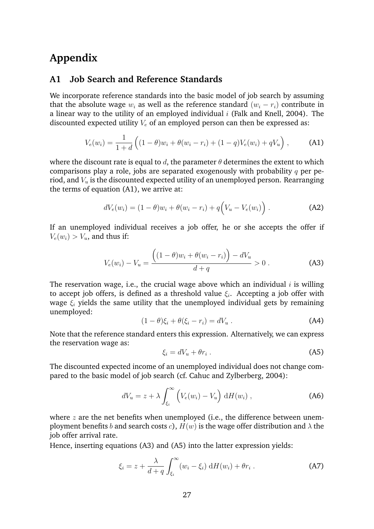## **Appendix**

#### **A1 Job Search and Reference Standards**

We incorporate reference standards into the basic model of job search by assuming that the absolute wage  $w_i$  as well as the reference standard  $(w_i - r_i)$  contribute in a linear way to the utility of an employed individual  $i$  (Falk and Knell, 2004). The discounted expected utility  $V_e$  of an employed person can then be expressed as:

$$
V_e(w_i) = \frac{1}{1+d} \left( (1-\theta)w_i + \theta(w_i - r_i) + (1-q)V_e(w_i) + qV_u \right), \tag{A1}
$$

where the discount rate is equal to d, the parameter  $\theta$  determines the extent to which comparisons play a role, jobs are separated exogenously with probability  $q$  per period, and  $V_u$  is the discounted expected utility of an unemployed person. Rearranging the terms of equation (A1), we arrive at:

$$
dV_e(w_i) = (1 - \theta)w_i + \theta(w_i - r_i) + q(V_u - V_e(w_i)).
$$
 (A2)

If an unemployed individual receives a job offer, he or she accepts the offer if  $V_e(w_i) > V_u$ , and thus if:

$$
V_e(w_i) - V_u = \frac{((1 - \theta)w_i + \theta(w_i - r_i)) - dV_u}{d + q} > 0.
$$
 (A3)

The reservation wage, i.e., the crucial wage above which an individual  $i$  is willing to accept job offers, is defined as a threshold value  $\xi_i$ . Accepting a job offer with wage  $\xi$  yields the same utility that the unemployed individual gets by remaining unemployed:

$$
(1 - \theta)\xi_i + \theta(\xi_i - r_i) = dV_u.
$$
 (A4)

Note that the reference standard enters this expression. Alternatively, we can express the reservation wage as:

$$
\xi_i = dV_u + \theta r_i \tag{A5}
$$

The discounted expected income of an unemployed individual does not change compared to the basic model of job search (cf. Cahuc and Zylberberg, 2004):

$$
dV_u = z + \lambda \int_{\xi_i}^{\infty} \left( V_e(w_i) - V_u \right) dH(w_i) , \qquad (A6)
$$

where  $z$  are the net benefits when unemployed (i.e., the difference between unemployment benefits b and search costs c),  $H(w)$  is the wage offer distribution and  $\lambda$  the job offer arrival rate.

Hence, inserting equations (A3) and (A5) into the latter expression yields:

$$
\xi_i = z + \frac{\lambda}{d+q} \int_{\xi_i}^{\infty} (w_i - \xi_i) \, dH(w_i) + \theta r_i \,. \tag{A7}
$$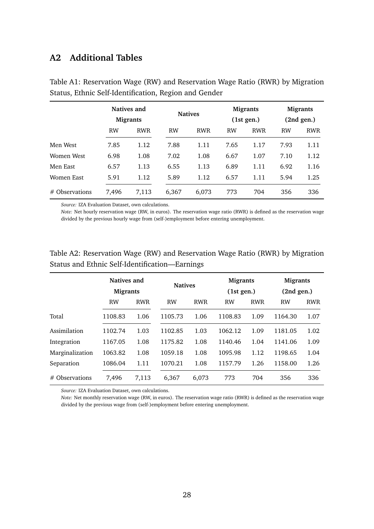#### **A2 Additional Tables**

|                  |           | Natives and<br><b>Migrants</b> |           | <b>Natives</b> |           | <b>Migrants</b><br>(1st gen.) |           | <b>Migrants</b><br>(2nd gen.) |
|------------------|-----------|--------------------------------|-----------|----------------|-----------|-------------------------------|-----------|-------------------------------|
|                  | <b>RW</b> | <b>RWR</b>                     | <b>RW</b> | <b>RWR</b>     | <b>RW</b> | <b>RWR</b>                    | <b>RW</b> | <b>RWR</b>                    |
| Men West         | 7.85      | 1.12                           | 7.88      | 1.11           | 7.65      | 1.17                          | 7.93      | 1.11                          |
| Women West       | 6.98      | 1.08                           | 7.02      | 1.08           | 6.67      | 1.07                          | 7.10      | 1.12                          |
| Men East         | 6.57      | 1.13                           | 6.55      | 1.13           | 6.89      | 1.11                          | 6.92      | 1.16                          |
| Women East       | 5.91      | 1.12                           | 5.89      | 1.12           | 6.57      | 1.11                          | 5.94      | 1.25                          |
| $#$ Observations | 7,496     | 7,113                          | 6,367     | 6,073          | 773       | 704                           | 356       | 336                           |

Table A1: Reservation Wage (RW) and Reservation Wage Ratio (RWR) by Migration Status, Ethnic Self-Identification, Region and Gender

*Source:* IZA Evaluation Dataset, own calculations.

*Note:* Net hourly reservation wage (RW, in euros). The reservation wage ratio (RWR) is defined as the reservation wage divided by the previous hourly wage from (self-)employment before entering unemployment.

|                  | Natives and<br><b>Migrants</b> |            | <b>Natives</b> |            | <b>Migrants</b><br>(1st gen.) |            | <b>Migrants</b><br>(2nd gen.) |            |
|------------------|--------------------------------|------------|----------------|------------|-------------------------------|------------|-------------------------------|------------|
|                  | <b>RW</b>                      | <b>RWR</b> | <b>RW</b>      | <b>RWR</b> | <b>RW</b>                     | <b>RWR</b> | <b>RW</b>                     | <b>RWR</b> |
| Total            | 1108.83                        | 1.06       | 1105.73        | 1.06       | 1108.83                       | 1.09       | 1164.30                       | 1.07       |
| Assimilation     | 1102.74                        | 1.03       | 1102.85        | 1.03       | 1062.12                       | 1.09       | 1181.05                       | 1.02       |
| Integration      | 1167.05                        | 1.08       | 1175.82        | 1.08       | 1140.46                       | 1.04       | 1141.06                       | 1.09       |
| Marginalization  | 1063.82                        | 1.08       | 1059.18        | 1.08       | 1095.98                       | 1.12       | 1198.65                       | 1.04       |
| Separation       | 1086.04                        | 1.11       | 1070.21        | 1.08       | 1157.79                       | 1.26       | 1158.00                       | 1.26       |
| $#$ Observations | 7,496                          | 7.113      | 6.367          | 6.073      | 773                           | 704        | 356                           | 336        |

Table A2: Reservation Wage (RW) and Reservation Wage Ratio (RWR) by Migration Status and Ethnic Self-Identification—Earnings

*Source:* IZA Evaluation Dataset, own calculations.

*Note:* Net monthly reservation wage (RW, in euros). The reservation wage ratio (RWR) is defined as the reservation wage divided by the previous wage from (self-)employment before entering unemployment.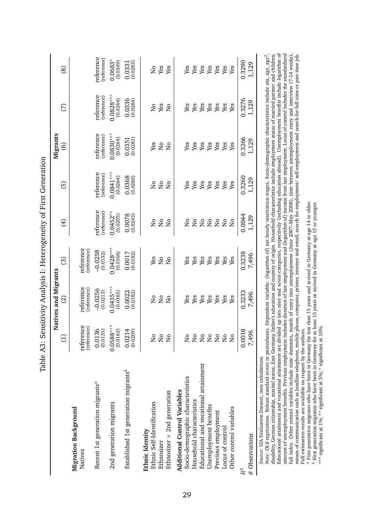|                                                  |                           | Natives and Migrants      |                          |                                |                          | Migrants                 |                           |                           |
|--------------------------------------------------|---------------------------|---------------------------|--------------------------|--------------------------------|--------------------------|--------------------------|---------------------------|---------------------------|
|                                                  | $\ominus$                 | $\widehat{\Omega}$        | ි                        | E                              | ල                        | $\circledcirc$           | E                         | $\circledS$               |
| Migration Background<br>Natives                  | reference<br>(reference)  | reference<br>(reference)  | reference<br>(reference) |                                |                          |                          |                           |                           |
| Recent 1st generation migrants <sup>a</sup>      | $0.0136$<br>$(0.0135)$    | $-0.0256$<br>(0.0213)     | $-0.0258$<br>(0.0132)    | reference<br>(reference)       | reference<br>(reference) | reference<br>(reference) | reference<br>(reference)  | reference<br>(reference)  |
| 2nd generation migrants                          | $0.0588***$<br>(0.0163)   | $0.0435***$<br>(0.0165)   | $0.0428***$<br>(0.0166)  | $0.0452***$<br>(0.0205)        | $0.0841***$<br>(0.0264)  | $0.0830***$<br>(0.0264)  | $0.0828***$<br>(0.0264)   | $0.0683*$<br>(0.0349)     |
| Established 1st generation migrants <sup>b</sup> | $0.0214$<br>$(0.0209)$    | $0.0022$<br>$(0.0182)$    | $0.0017$<br>$(0.0182)$   | $0.0078$<br>$(0.0243)$         | $0.0368$<br>$(0.0280)$   | $0.0351$<br>$(0.0283)$   | $0.0336$<br>$(0.0284)$    | $0.0331$<br>$(0.0283)$    |
| Ethnic Self-Identification<br>Ethnic Identity    | $\overline{S}$            | $\mathop{\rm S}\nolimits$ | Yes                      | $\frac{1}{2}$                  | $\rm _{N}^{\circ}$       | Yes                      | $\mathsf{S}^{\mathsf{O}}$ | $\mathsf{S}^{\mathsf{O}}$ |
| Ethnosizer                                       | $\overline{\mathsf{S}}$   | $\rm _{N}^{\circ}$        | $\overline{\mathsf{S}}$  | $\overline{\mathsf{a}}$        | $\rm _{N}^{\rm o}$       | $\rm _{N}^{\rm o}$       | Yes                       | Yes                       |
| Ethnosizer $\times$ 2nd generation               | $\mathsf{S}^{\mathsf{O}}$ | $\overline{a}$            | $\overline{a}$           | $\frac{1}{2}$                  | $\overline{S}$           | $\overline{a}$           | $\overline{a}$            | Yes                       |
| <b>Additional Control Variables</b>              |                           |                           |                          |                                |                          |                          |                           |                           |
| Socio-demographic characteristics                | å                         | Yes                       | Yes                      | Σ                              | Yes                      | Yes                      | Yes                       | Yes                       |
| Household characteristics                        | $\frac{1}{2}$             | Yes                       | Yes                      | $\overline{\mathsf{z}}$        | Yes                      | Yes                      | Yes                       | Yes                       |
| Educational and vocational attainment            | $\mathsf{S}^{\mathsf{O}}$ | Yes                       | Yes                      | $\mathop{\mathrm{S}}\nolimits$ | Yes                      | Yes                      | Yes                       | Yes                       |
| Unemployment benefits                            | $\mathsf{S}^{\mathsf{O}}$ | Yes                       | Yes                      | $\rm _{No}$                    | Yes                      | Yes                      | Yes                       | Yes                       |
| Previous employment                              | $\overline{\mathsf{S}}$   | Yes                       | Yes                      | $\rm _{N}^{\circ}$             | Yes                      | ${\it Yes}$              | Yes                       | Yes                       |
| Locus of control                                 | $\overline{\mathsf{S}}$   | Yes                       | Yes                      | $_{\rm N_o}$                   | Yes                      | Yes                      | Yes                       | Yes                       |
| Other control variables                          | $\overline{a}$            | Yes                       | Yes                      | $\overline{\mathsf{S}}$        | Yes                      | Yes                      | Yes                       | Yes                       |
| $R^2$                                            | 0.0018                    | 0.3233                    | 0.3238                   | 0.0044                         | 0.3260                   | 0.3266                   | 0.3276                    | 0.3290                    |
| # Observations                                   | 7,496                     | 7,496                     | 7,496                    | 1,129                          | 1,129                    | 1,129                    | 1,129                     | 1,129                     |

Educational attainment and vocational attainment are divided up into nine and seven categories, respectively (including education abroad). Unemployment benefits include logarithm of amount of unemployment benefits include Educational attainment and vocational attainment are divided up into nine and seven categories, respectively (including education abroad). Unemployment benefits include logarithm of amount of unemployment benefits. Previous employment includes duration of last employment and (logarithm of) income from last employment. Locus of control includes the standardized *Note:* OLS regressions. Robust standard errors in parentheses. Dependent variable: (logarithm of) net hourly reservation wages. Socio-demographic characteristics include sex, age, age<sup>2</sup>, disability, German citizenship, marital status, East Germany, father's education and country of origin. Household characteristics include employment status of married partner and children. full index. Other control variables include state dummies, month of entry into unemployment (June 2007–May 2008), time between unemployment entry and interview (7-14 weeks), means of communication such as landline telephone, mobile phone, computer, printer, internet and email, search for employment/ self-employment and search for full-time or part-time job. Full estimation results are available on request by the authors. Full estimation results are available on request by the authors.

abFirst generation migrants who have been in Germany for less than 15 years and arrived in Germany at age 14 or older.

First generation migrants who have been in Germany for at least 15 years or arrived in Germany at age 13 or younger.

\*\*\* significant at 1%; \*\* significant at 5%; \* significant at 10%.